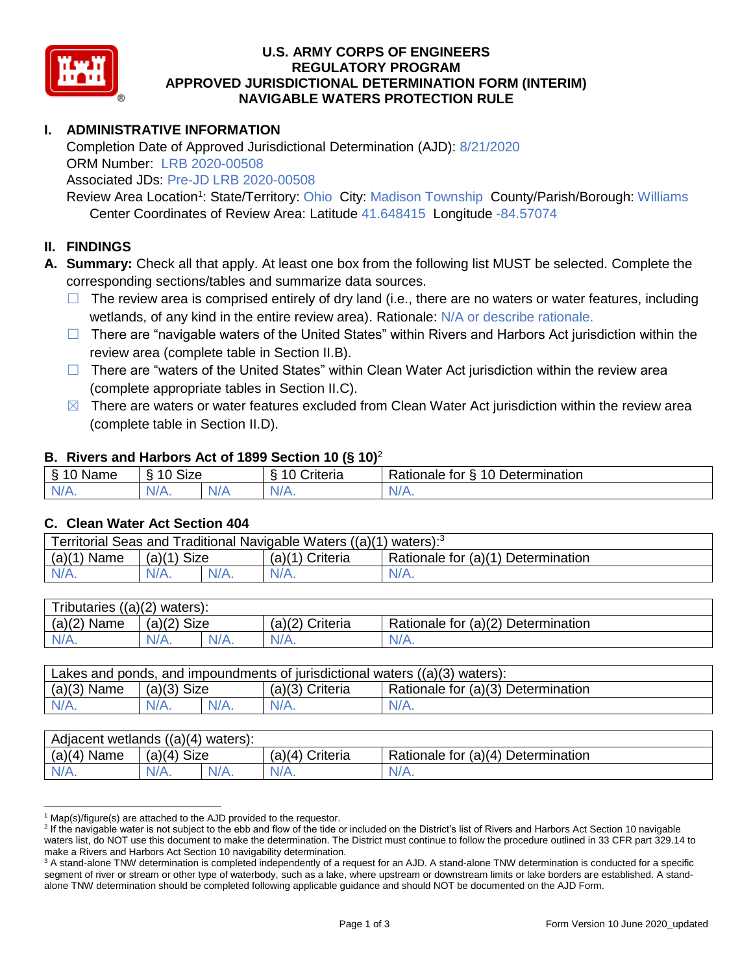

#### **U.S. ARMY CORPS OF ENGINEERS REGULATORY PROGRAM APPROVED JURISDICTIONAL DETERMINATION FORM (INTERIM) NAVIGABLE WATERS PROTECTION RULE**

# **I. ADMINISTRATIVE INFORMATION**

Completion Date of Approved Jurisdictional Determination (AJD): 8/21/2020 ORM Number: LRB 2020-00508

Associated JDs: Pre-JD LRB 2020-00508

Review Area Location<sup>1</sup>: State/Territory: Ohio City: Madison Township County/Parish/Borough: Williams Center Coordinates of Review Area: Latitude 41.648415 Longitude -84.57074

#### **II. FINDINGS**

**A. Summary:** Check all that apply. At least one box from the following list MUST be selected. Complete the corresponding sections/tables and summarize data sources.

- $\Box$  The review area is comprised entirely of dry land (i.e., there are no waters or water features, including wetlands, of any kind in the entire review area). Rationale: N/A or describe rationale.
- $\Box$  There are "navigable waters of the United States" within Rivers and Harbors Act jurisdiction within the review area (complete table in Section II.B).
- $\Box$  There are "waters of the United States" within Clean Water Act jurisdiction within the review area (complete appropriate tables in Section II.C).
- $\boxtimes$  There are waters or water features excluded from Clean Water Act jurisdiction within the review area (complete table in Section II.D).

#### **B. Rivers and Harbors Act of 1899 Section 10 (§ 10)**<sup>2</sup>

| . .      |                                            |   |                                 |                                           |  |
|----------|--------------------------------------------|---|---------------------------------|-------------------------------------------|--|
| Name     | <b>Size</b><br>$\overline{A}$<br>C.<br>ΙА. |   | . .<br>10<br>-<br>`rıteria<br>v | 10 Determination<br>-<br>tor<br>≺atıonale |  |
| N/f<br>. | N/A.                                       | w |                                 | N/A.                                      |  |

#### **C. Clean Water Act Section 404**

| Territorial Seas and Traditional Navigable Waters $((a)(1)$ waters): <sup>3</sup> |                |  |                   |                                    |  |
|-----------------------------------------------------------------------------------|----------------|--|-------------------|------------------------------------|--|
| (a)(1)<br>Name                                                                    | Size<br>(a)(1) |  | $(a)(1)$ Criteria | Rationale for (a)(1) Determination |  |
|                                                                                   | $N/A$ .        |  | $N/A$ .           | $N/A$ .                            |  |

| Tributaries $((a)(2)$ waters): |                |      |                 |                                    |  |  |
|--------------------------------|----------------|------|-----------------|------------------------------------|--|--|
| $(a)(2)$ Name                  | Size<br>(a)(2) |      | (a)(2) Criteria | Rationale for (a)(2) Determination |  |  |
| $N/A$ .                        | $N/A$ .        | N/A. | $N/A$ .         | N/A.                               |  |  |

| Lakes and ponds, and impoundments of jurisdictional waters $((a)(3)$ waters): |               |         |                   |                                    |  |
|-------------------------------------------------------------------------------|---------------|---------|-------------------|------------------------------------|--|
| $(a)(3)$ Name                                                                 | $(a)(3)$ Size |         | $(a)(3)$ Criteria | Rationale for (a)(3) Determination |  |
| $N/A$ .                                                                       | $N/A$ .       | $N/A$ . | $N/A$ .           | $N/A$ .                            |  |

| Adjacent wetlands $((a)(4)$ waters): |                       |         |                    |                                    |  |  |
|--------------------------------------|-----------------------|---------|--------------------|------------------------------------|--|--|
| (a)(4)<br>Name                       | <b>Size</b><br>(a)(4) |         | (a)(4)<br>Criteria | Rationale for (a)(4) Determination |  |  |
| $N/A$ .                              | $N/A$ .               | $N/A$ . | $N/A$ .            | $N/A$ .                            |  |  |

 $1$  Map(s)/figure(s) are attached to the AJD provided to the requestor.

<sup>&</sup>lt;sup>2</sup> If the navigable water is not subject to the ebb and flow of the tide or included on the District's list of Rivers and Harbors Act Section 10 navigable waters list, do NOT use this document to make the determination. The District must continue to follow the procedure outlined in 33 CFR part 329.14 to make a Rivers and Harbors Act Section 10 navigability determination.

<sup>&</sup>lt;sup>3</sup> A stand-alone TNW determination is completed independently of a request for an AJD. A stand-alone TNW determination is conducted for a specific segment of river or stream or other type of waterbody, such as a lake, where upstream or downstream limits or lake borders are established. A standalone TNW determination should be completed following applicable guidance and should NOT be documented on the AJD Form.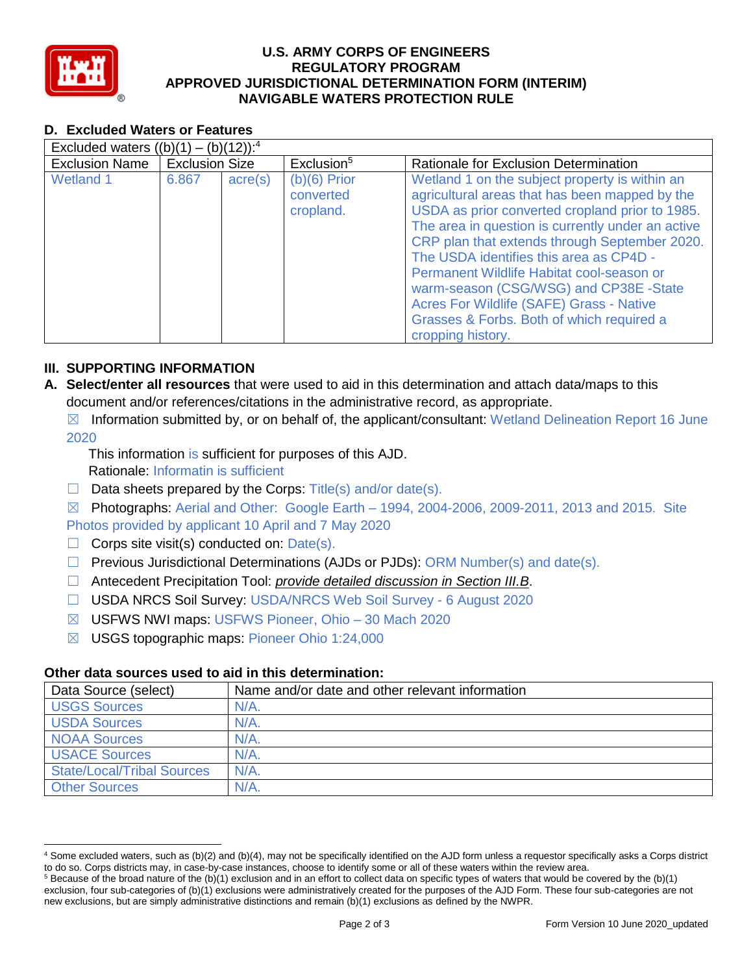

## **U.S. ARMY CORPS OF ENGINEERS REGULATORY PROGRAM APPROVED JURISDICTIONAL DETERMINATION FORM (INTERIM) NAVIGABLE WATERS PROTECTION RULE**

# **D. Excluded Waters or Features**

| Excluded waters $((b)(1) - (b)(12))$ : <sup>4</sup> |                       |                  |                                          |                                                                                                                                                                                                                                                                                                                                                                                                                                                                                                           |  |
|-----------------------------------------------------|-----------------------|------------------|------------------------------------------|-----------------------------------------------------------------------------------------------------------------------------------------------------------------------------------------------------------------------------------------------------------------------------------------------------------------------------------------------------------------------------------------------------------------------------------------------------------------------------------------------------------|--|
| <b>Exclusion Name</b>                               | <b>Exclusion Size</b> |                  | Exclusion <sup>5</sup>                   | Rationale for Exclusion Determination                                                                                                                                                                                                                                                                                                                                                                                                                                                                     |  |
| Wetland 1                                           | 6.867                 | $\text{acre}(s)$ | $(b)(6)$ Prior<br>converted<br>cropland. | Wetland 1 on the subject property is within an<br>agricultural areas that has been mapped by the<br>USDA as prior converted cropland prior to 1985.<br>The area in question is currently under an active<br>CRP plan that extends through September 2020.<br>The USDA identifies this area as CP4D -<br>Permanent Wildlife Habitat cool-season or<br>warm-season (CSG/WSG) and CP38E -State<br>Acres For Wildlife (SAFE) Grass - Native<br>Grasses & Forbs. Both of which required a<br>cropping history. |  |

## **III. SUPPORTING INFORMATION**

**A. Select/enter all resources** that were used to aid in this determination and attach data/maps to this document and/or references/citations in the administrative record, as appropriate.

 $\boxtimes$  Information submitted by, or on behalf of, the applicant/consultant: Wetland Delineation Report 16 June 2020

This information is sufficient for purposes of this AJD.

- Rationale: Informatin is sufficient
- $\Box$  Data sheets prepared by the Corps: Title(s) and/or date(s).
- ☒ Photographs: Aerial and Other: Google Earth 1994, 2004-2006, 2009-2011, 2013 and 2015. Site Photos provided by applicant 10 April and 7 May 2020
- $\Box$  Corps site visit(s) conducted on: Date(s).
- $\Box$  Previous Jurisdictional Determinations (AJDs or PJDs): ORM Number(s) and date(s).
- ☐ Antecedent Precipitation Tool: *provide detailed discussion in Section III.B*.
- ☐ USDA NRCS Soil Survey: USDA/NRCS Web Soil Survey 6 August 2020
- ☒ USFWS NWI maps: USFWS Pioneer, Ohio 30 Mach 2020
- ☒ USGS topographic maps: Pioneer Ohio 1:24,000

## **Other data sources used to aid in this determination:**

| Data Source (select)              | Name and/or date and other relevant information |
|-----------------------------------|-------------------------------------------------|
| <b>USGS Sources</b>               | N/A                                             |
| <b>USDA Sources</b>               | N/A                                             |
| <b>NOAA Sources</b>               | $N/A$ .                                         |
| <b>USACE Sources</b>              | $N/A$ .                                         |
| <b>State/Local/Tribal Sources</b> | $N/A$ .                                         |
| <b>Other Sources</b>              | N/A                                             |

 <sup>4</sup> Some excluded waters, such as (b)(2) and (b)(4), may not be specifically identified on the AJD form unless a requestor specifically asks a Corps district to do so. Corps districts may, in case-by-case instances, choose to identify some or all of these waters within the review area.

 $5$  Because of the broad nature of the (b)(1) exclusion and in an effort to collect data on specific types of waters that would be covered by the (b)(1) exclusion, four sub-categories of (b)(1) exclusions were administratively created for the purposes of the AJD Form. These four sub-categories are not new exclusions, but are simply administrative distinctions and remain (b)(1) exclusions as defined by the NWPR.